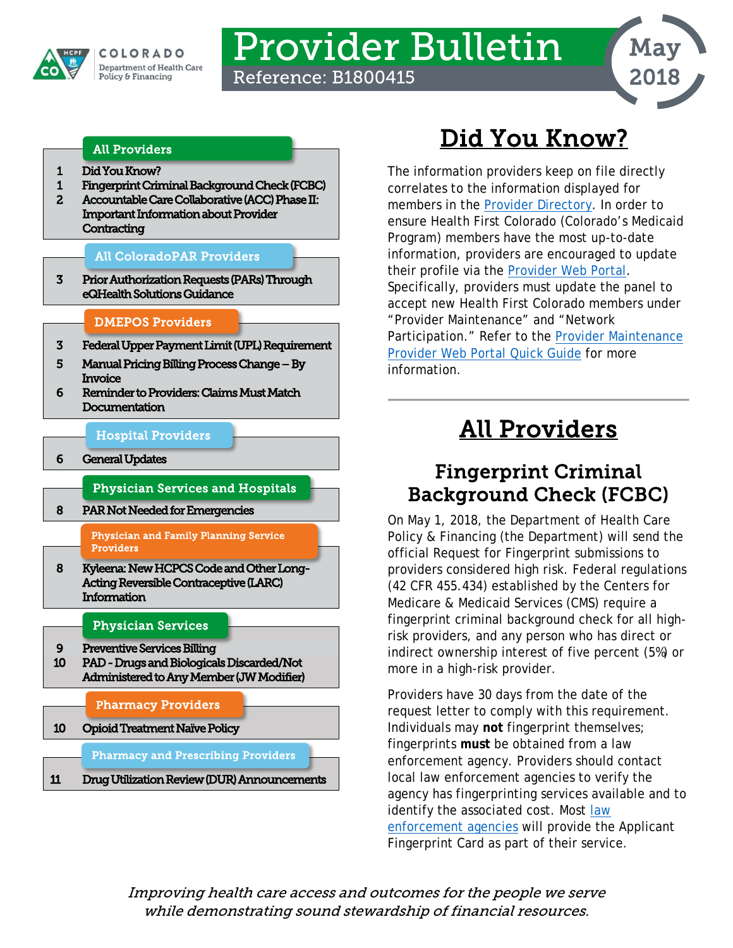

# Provider Bulletin

Reference: B1800415



### [All Providers](#page-0-2)

- [1 Did You Know?](#page-0-0)
- [1 Fingerprint Criminal Background Check \(FCBC\)](#page-0-1)
- 2 Accountable Care Collaborative (ACC) Phase II: [Important Information about Provider](#page-1-0)  **Contracting**

### [All ColoradoPAR Providers](#page-2-3)

[3 Prior Authorization Requests \(PARs\) Through](#page-2-0)  [eQHealth Solutions Guidance](#page-2-0) 

### [DMEPOS Providers](#page-2-2)

- [3 Federal Upper Payment Limit \(UPL\) Requirement](#page-2-1)
- [5 Manual Pricing Billing Process Change By](#page-4-0)  [Invoice](#page-4-0)
- [6 Reminder to Providers: Claims Must Match](#page-5-0)  [Documentation](#page-5-0)

### [Hospital Providers](#page-5-2)

[6 General Updates](#page-5-1) 

### [Physician Services and Hospitals](#page-7-3)

[8 PAR Not Needed for Emergencies](#page-7-0) 

#### [Physician and Family Planning Service](#page-7-2)  [Providers](#page-7-2)

[8 Kyleena: New HCPCS Code and Other Long-](#page-7-1) [Acting Reversible Contraceptive \(LARC\)](#page-7-1)  [Information](#page-7-1) 

### [Physician Services](#page-8-1)

- [9 Preventive Services Billing](#page-8-0)
- [10 PAD Drugs and Biologicals Discarded/Not](#page-9-0)  [Administered to Any Member \(JW Modifier\)](#page-9-0)

### [Pharmacy Providers](#page-9-2)

[10 Opioid Treatment Naïve Policy](#page-9-1) 

### [Pharmacy and Prescribing Providers](#page-10-1)

[11 Drug Utilization Review \(DUR\) Announcements](#page-10-0)  ł

## Did You Know?

<span id="page-0-0"></span>The information providers keep on file directly correlates to the information displayed for members in the [Provider Directory.](https://www.colorado.gov/pacific/hcpf/find-doctor) In order to ensure Health First Colorado (Colorado's Medicaid Program) members have the most up-to-date information, providers are encouraged to update their profile via the [Provider Web Portal.](https://colorado-hcp-portal.xco.dcs-usps.com/hcp/provider) Specifically, providers must update the panel to accept new Health First Colorado members under "Provider Maintenance" and "Network Participation." Refer to the [Provider Maintenance](https://www.colorado.gov/pacific/sites/default/files/Provider%20Maintenance%20021318.pdf)  [Provider Web Portal Quick Guide](https://www.colorado.gov/pacific/sites/default/files/Provider%20Maintenance%20021318.pdf) for more information.

## All Providers

### <span id="page-0-2"></span><span id="page-0-1"></span>Fingerprint Criminal Background Check (FCBC)

On May 1, 2018, the Department of Health Care Policy & Financing (the Department) will send the official Request for Fingerprint submissions to providers considered high risk. Federal regulations (42 CFR 455.434) established by the Centers for Medicare & Medicaid Services (CMS) require a fingerprint criminal background check for all highrisk providers, and any person who has direct or indirect ownership interest of five percent (5%) or more in a high-risk provider.

Providers have 30 days from the date of the request letter to comply with this requirement. Individuals may **not** fingerprint themselves; fingerprints **must** be obtained from a law enforcement agency. Providers should contact local law enforcement agencies to verify the agency has fingerprinting services available and to identify the associated cost. Most law [enforcement agencies](http://www.usacops.com/co/) will provide the Applicant Fingerprint Card as part of their service.

Improving health care access and outcomes for the people we serve while demonstrating sound stewardship of financial resources.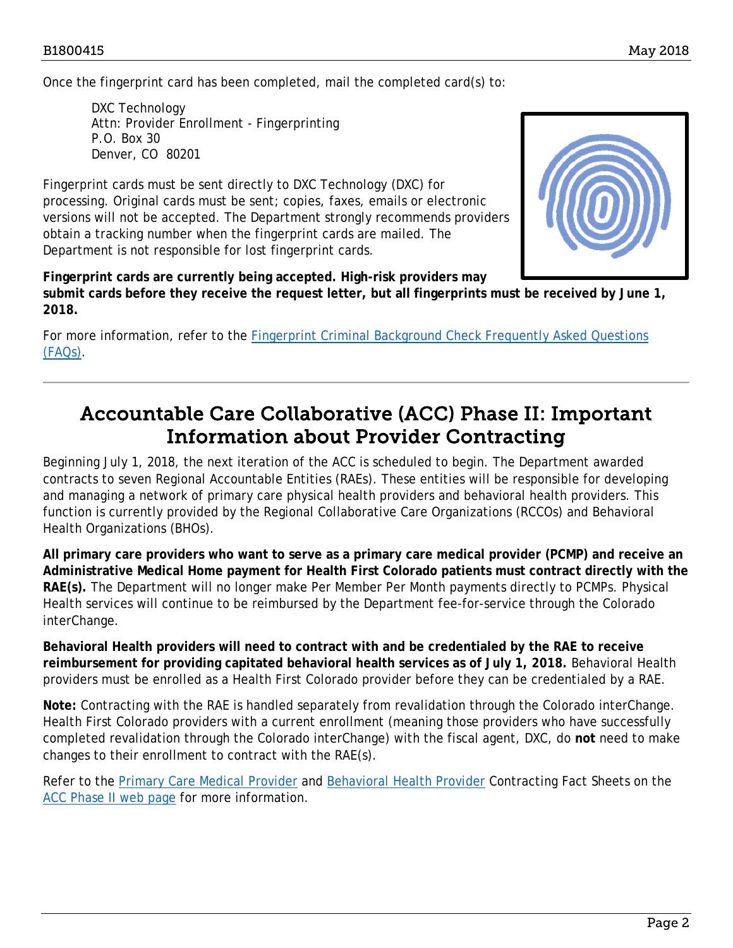Once the fingerprint card has been completed, mail the completed card(s) to:

DXC Technology Attn: Provider Enrollment - Fingerprinting P.O. Box 30 Denver, CO 80201

Fingerprint cards must be sent directly to DXC Technology (DXC) for processing. Original cards must be sent; copies, faxes, emails or electronic versions will not be accepted. The Department strongly recommends providers obtain a tracking number when the fingerprint cards are mailed. The Department is not responsible for lost fingerprint cards.



**Fingerprint cards are currently being accepted. High-risk providers may submit cards before they receive the request letter, but all fingerprints must be received by June 1, 2018.** 

For more information, refer to the [Fingerprint Criminal Background Check Frequently Asked Questions](https://www.colorado.gov/pacific/sites/default/files/FCBC%20FAQ%20Update.pdf)  [\(FAQs\).](https://www.colorado.gov/pacific/sites/default/files/FCBC%20FAQ%20Update.pdf)

### <span id="page-1-0"></span>Accountable Care Collaborative (ACC) Phase II: Important Information about Provider Contracting

Beginning July 1, 2018, the next iteration of the ACC is scheduled to begin. The Department awarded contracts to seven Regional Accountable Entities (RAEs). These entities will be responsible for developing and managing a network of primary care physical health providers and behavioral health providers. This function is currently provided by the Regional Collaborative Care Organizations (RCCOs) and Behavioral Health Organizations (BHOs).

**All primary care providers who want to serve as a primary care medical provider (PCMP) and receive an Administrative Medical Home payment for Health First Colorado patients must contract directly with the RAE(s).** The Department will no longer make Per Member Per Month payments directly to PCMPs. Physical Health services will continue to be reimbursed by the Department fee-for-service through the Colorado interChange.

**Behavioral Health providers will need to contract with and be credentialed by the RAE to receive reimbursement for providing capitated behavioral health services as of July 1, 2018.** Behavioral Health providers must be enrolled as a Health First Colorado provider before they can be credentialed by a RAE.

**Note:** Contracting with the RAE is handled separately from revalidation through the Colorado interChange. Health First Colorado providers with a current enrollment (meaning those providers who have successfully completed revalidation through the Colorado interChange) with the fiscal agent, DXC, do **not** need to make changes to their enrollment to contract with the RAE(s).

Refer to the **Primary Care Medical Provider and [Behavioral Health Provider](http://r20.rs6.net/tn.jsp?f=001SmIE8-5pKpU8dRgVsBajzKoNpAK3-r_F4uQix6DbGgVpi3Z3co4CuxCkyw9UZkSi_UUBX0Uc2orkpDNEgyKSI9GWj5ZHR8kPImEB8dqA8MaVy37wME2Vm5Sju9vLBdVE1SqgFs9S75CGqNLKGGUpSGK0UCdWDu-neuRrKp_GGBTxdTh6CGckgTpFLpE0c2IjZpbCxX99RWhp8tuhu0w8OwW5AR6gyMvq5eiwEgs99EV0AxhoYq9VZy2HjijHMy74woQP-vXkToYRz1xCjgmyjAYVanNmR5hZjns3gHmSGiC7r0vdtk4B4i5c0rq4C1iI&c=nMUeCvOwn0tySRCQt7n0FK9O39rvfcF334pHssPPoHpvjwbsoq0U2w==&ch=-XB5X_LE3CBoCZIc0sjrZ0d6Q98QgVp31Iob4w6EGX0n0l4iE6QA2g==) Contracting Fact Sheets on the** [ACC Phase II web page](https://www.colorado.gov/hcpf/accphase2) for more information.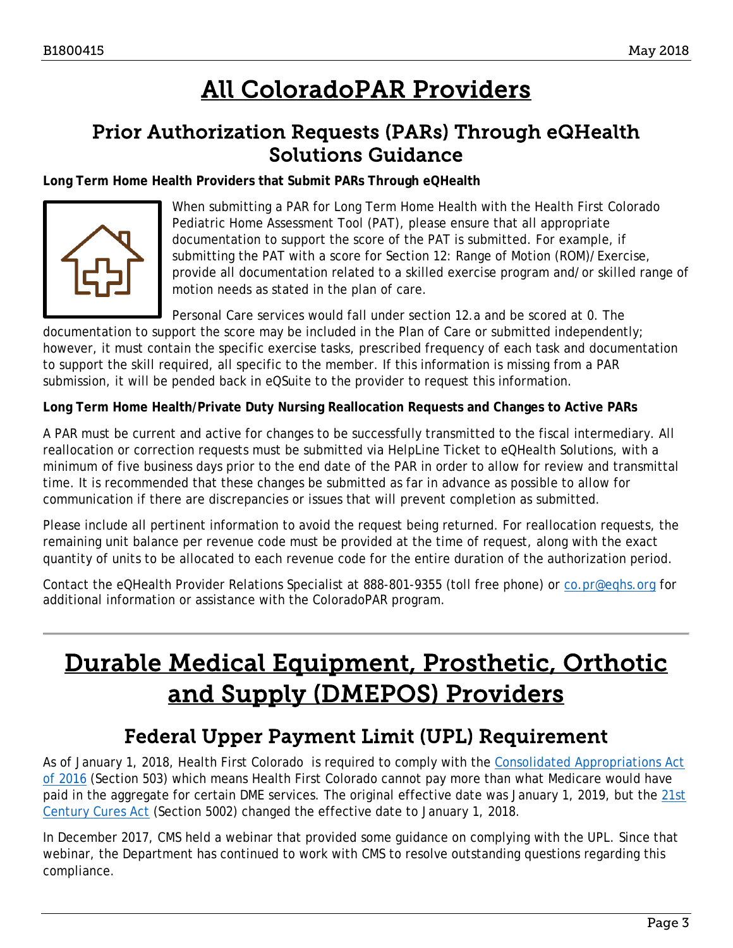## All ColoradoPAR Providers

## <span id="page-2-3"></span><span id="page-2-0"></span>Prior Authorization Requests (PARs) Through eQHealth Solutions Guidance

**Long Term Home Health Providers that Submit PARs Through eQHealth**



When submitting a PAR for Long Term Home Health with the Health First Colorado Pediatric Home Assessment Tool (PAT), please ensure that all appropriate documentation to support the score of the PAT is submitted. For example, if submitting the PAT with a score for Section 12: Range of Motion (ROM)/Exercise, provide all documentation related to a skilled exercise program and/or skilled range of motion needs as stated in the plan of care.

Personal Care services would fall under section 12.a and be scored at 0. The

documentation to support the score may be included in the Plan of Care or submitted independently; however, it must contain the specific exercise tasks, prescribed frequency of each task and documentation to support the skill required, all specific to the member. If this information is missing from a PAR submission, it will be pended back in eQSuite to the provider to request this information.

**Long Term Home Health/Private Duty Nursing Reallocation Requests and Changes to Active PARs** 

A PAR must be current and active for changes to be successfully transmitted to the fiscal intermediary. All reallocation or correction requests must be submitted via HelpLine Ticket to eQHealth Solutions, with a minimum of five business days prior to the end date of the PAR in order to allow for review and transmittal time. It is recommended that these changes be submitted as far in advance as possible to allow for communication if there are discrepancies or issues that will prevent completion as submitted.

Please include all pertinent information to avoid the request being returned. For reallocation requests, the remaining unit balance per revenue code must be provided at the time of request, along with the exact quantity of units to be allocated to each revenue code for the entire duration of the authorization period.

Contact the eQHealth Provider Relations Specialist at 888-801-9355 (toll free phone) or [co.pr@eqhs.org](mailto:co.pr@eqhs.org) for additional information or assistance with the ColoradoPAR program.

## <span id="page-2-2"></span>Durable Medical Equipment, Prosthetic, Orthotic and Supply (DMEPOS) Providers

## Federal Upper Payment Limit (UPL) Requirement

<span id="page-2-1"></span>As of January 1, 2018, Health First Colorado is required to comply with the [Consolidated Appropriations Act](https://www.congress.gov/bill/114th-congress/house-bill/2029/text?q=%7B%22search%22:%5b%22public+law+114-113%22%5d%7D&r=1)  [of 2016](https://www.congress.gov/bill/114th-congress/house-bill/2029/text?q=%7B%22search%22:%5b%22public+law+114-113%22%5d%7D&r=1) (Section 503) which means Health First Colorado cannot pay more than what Medicare would have paid in the aggregate for certain DME services. The original effective date was January 1, 2019, but the 21st [Century Cures Act](https://www.congress.gov/bill/114th-congress/house-bill/34/text?q=%7B%22search%22:%5b%22public+law+no:+114-255.%22%5d%7D&r=1) (Section 5002) changed the effective date to January 1, 2018.

In December 2017, CMS held a webinar that provided some guidance on complying with the UPL. Since that webinar, the Department has continued to work with CMS to resolve outstanding questions regarding this compliance.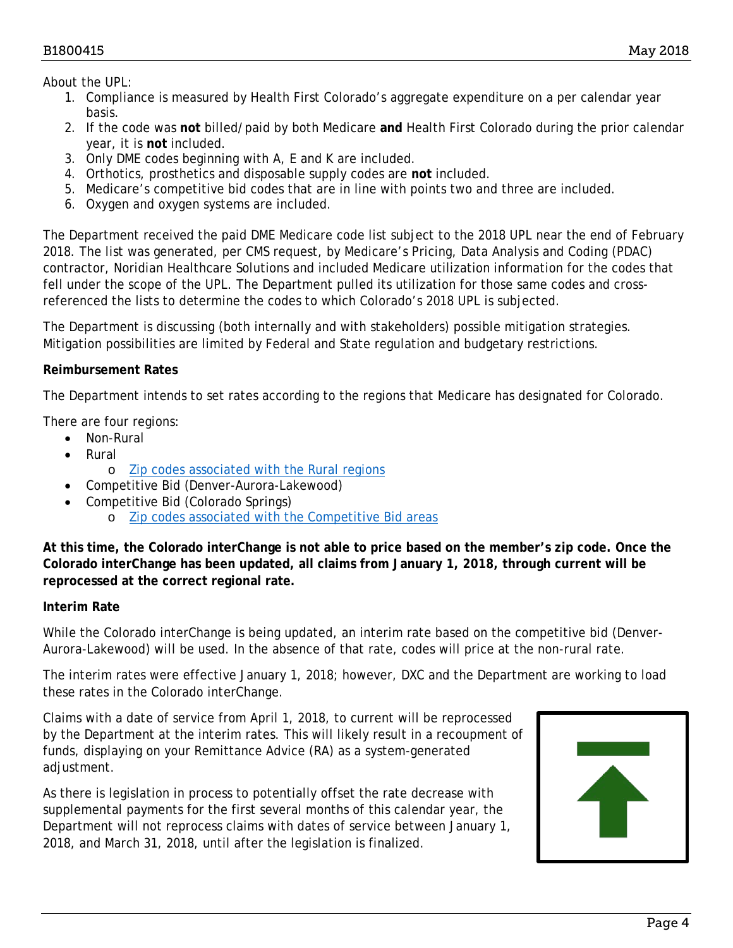#### B1800415 May 2018

About the UPL:

- 1. Compliance is measured by Health First Colorado's aggregate expenditure on a per calendar year basis.
- 2. If the code was **not** billed/paid by both Medicare **and** Health First Colorado during the prior calendar year, it is **not** included.
- 3. Only DME codes beginning with A, E and K are included.
- 4. Orthotics, prosthetics and disposable supply codes are **not** included.
- 5. Medicare's competitive bid codes that are in line with points two and three are included.
- 6. Oxygen and oxygen systems are included.

The Department received the paid DME Medicare code list subject to the 2018 UPL near the end of February 2018. The list was generated, per CMS request, by Medicare's Pricing, Data Analysis and Coding (PDAC) contractor, Noridian Healthcare Solutions and included Medicare utilization information for the codes that fell under the scope of the UPL. The Department pulled its utilization for those same codes and crossreferenced the lists to determine the codes to which Colorado's 2018 UPL is subjected.

The Department is discussing (both internally and with stakeholders) possible mitigation strategies. Mitigation possibilities are limited by Federal and State regulation and budgetary restrictions.

### **Reimbursement Rates**

The Department intends to set rates according to the regions that Medicare has designated for Colorado.

There are four regions:

- Non-Rural
- Rural
	- o [Zip codes associated with the Rural regions](https://www.cms.gov/Medicare/Medicare-Fee-for-Service-Payment/FeeScheduleGenInfo/index.html)
- Competitive Bid (Denver-Aurora-Lakewood)
- Competitive Bid (Colorado Springs)
	- o [Zip codes associated with the Competitive Bid areas](https://dmecompetitivebid.com/palmetto/cbic.nsf/CBAMap)

**At this time, the Colorado interChange is not able to price based on the member's zip code. Once the Colorado interChange has been updated, all claims from January 1, 2018, through current will be reprocessed at the correct regional rate.**

### **Interim Rate**

While the Colorado interChange is being updated, an interim rate based on the competitive bid (Denver-Aurora-Lakewood) will be used. In the absence of that rate, codes will price at the non-rural rate.

The interim rates were effective January 1, 2018; however, DXC and the Department are working to load these rates in the Colorado interChange.

Claims with a date of service from April 1, 2018, to current will be reprocessed by the Department at the interim rates. This will likely result in a recoupment of funds, displaying on your Remittance Advice (RA) as a system-generated adjustment.

As there is legislation in process to potentially offset the rate decrease with supplemental payments for the first several months of this calendar year, the Department will not reprocess claims with dates of service between January 1, 2018, and March 31, 2018, until after the legislation is finalized.

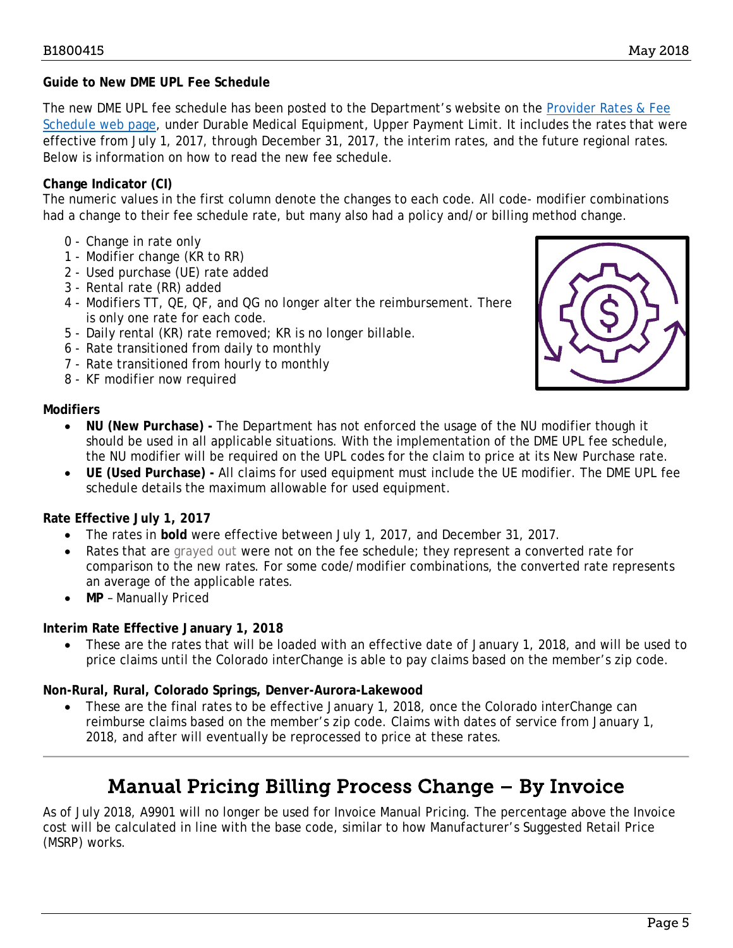### **Guide to New DME UPL Fee Schedule**

The new DME UPL fee schedule has been posted to the Department's website on the [Provider Rates](https://www.colorado.gov/hcpf/provider-rates-fee-schedule) & Fee [Schedule web page,](https://www.colorado.gov/hcpf/provider-rates-fee-schedule) under Durable Medical Equipment, Upper Payment Limit. It includes the rates that were effective from July 1, 2017, through December 31, 2017, the interim rates, and the future regional rates. Below is information on how to read the new fee schedule.

### **Change Indicator (CI)**

The numeric values in the first column denote the changes to each code. All code- modifier combinations had a change to their fee schedule rate, but many also had a policy and/or billing method change.

- 0 Change in rate only
- 1 Modifier change (KR to RR)
- 2 Used purchase (UE) rate added
- 3 Rental rate (RR) added
- 4 Modifiers TT, QE, QF, and QG no longer alter the reimbursement. There is only one rate for each code.
- 5 Daily rental (KR) rate removed; KR is no longer billable.
- 6 Rate transitioned from daily to monthly
- 7 Rate transitioned from hourly to monthly
- 8 KF modifier now required

### **Modifiers**

- **NU (New Purchase) -** The Department has not enforced the usage of the NU modifier though it should be used in all applicable situations. With the implementation of the DME UPL fee schedule, the NU modifier will be required on the UPL codes for the claim to price at its New Purchase rate.
- **UE (Used Purchase) -** All claims for used equipment must include the UE modifier. The DME UPL fee schedule details the maximum allowable for used equipment.

### **Rate Effective July 1, 2017**

- The rates in **bold** were effective between July 1, 2017, and December 31, 2017.
- Rates that are grayed out were not on the fee schedule; they represent a converted rate for comparison to the new rates. For some code/modifier combinations, the converted rate represents an average of the applicable rates.
- **MP** Manually Priced

### **Interim Rate Effective January 1, 2018**

• These are the rates that will be loaded with an effective date of January 1, 2018, and will be used to price claims until the Colorado interChange is able to pay claims based on the member's zip code.

### **Non-Rural, Rural, Colorado Springs, Denver-Aurora-Lakewood**

• These are the final rates to be effective January 1, 2018, once the Colorado interChange can reimburse claims based on the member's zip code. Claims with dates of service from January 1, 2018, and after will eventually be reprocessed to price at these rates.

## Manual Pricing Billing Process Change – By Invoice

<span id="page-4-0"></span>As of July 2018, A9901 will no longer be used for Invoice Manual Pricing. The percentage above the Invoice cost will be calculated in line with the base code, similar to how Manufacturer's Suggested Retail Price (MSRP) works.

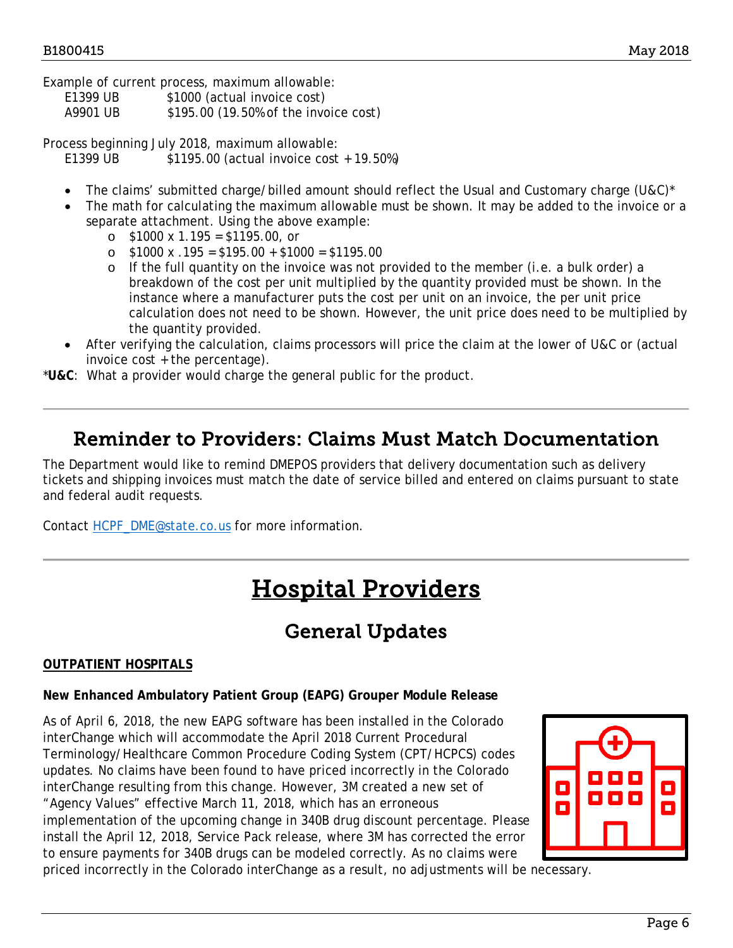Example of current process, maximum allowable:

E1399 UB \$1000 (actual invoice cost)

A9901 UB \$195.00 (19.50% of the invoice cost)

Process beginning July 2018, maximum allowable: E1399 UB \$1195.00 (actual invoice cost + 19.50%)

- The claims' submitted charge/billed amount should reflect the Usual and Customary charge (U&C)\*
- The math for calculating the maximum allowable must be shown. It may be added to the invoice or a separate attachment. Using the above example:
	- $\circ$  \$1000 x 1.195 = \$1195.00, or
	- o \$1000 x .195 = \$195.00 + \$1000 = \$1195.00
	- o If the full quantity on the invoice was not provided to the member (i.e. a bulk order) a breakdown of the cost per unit multiplied by the quantity provided must be shown. In the instance where a manufacturer puts the cost per unit on an invoice, the per unit price calculation does not need to be shown. However, the unit price does need to be multiplied by the quantity provided.
- After verifying the calculation, claims processors will price the claim at the lower of U&C or (actual invoice cost + the percentage).
- \***U&C**: What a provider would charge the general public for the product.

### <span id="page-5-0"></span>Reminder to Providers: Claims Must Match Documentation

The Department would like to remind DMEPOS providers that delivery documentation such as delivery tickets and shipping invoices must match the date of service billed and entered on claims pursuant to state and federal audit requests.

<span id="page-5-2"></span>Contact [HCPF\\_DME@state.co.us](mailto:HCPF_DME@state.co.us) for more information.

## Hospital Providers

## General Updates

### <span id="page-5-1"></span>**OUTPATIENT HOSPITALS**

### **New Enhanced Ambulatory Patient Group (EAPG) Grouper Module Release**

As of April 6, 2018, the new EAPG software has been installed in the Colorado interChange which will accommodate the April 2018 Current Procedural Terminology/Healthcare Common Procedure Coding System (CPT/HCPCS) codes updates. No claims have been found to have priced incorrectly in the Colorado interChange resulting from this change. However, 3M created a new set of "Agency Values" effective March 11, 2018, which has an erroneous implementation of the upcoming change in 340B drug discount percentage. Please install the April 12, 2018, Service Pack release, where 3M has corrected the error to ensure payments for 340B drugs can be modeled correctly. As no claims were priced incorrectly in the Colorado interChange as a result, no adjustments will be necessary.

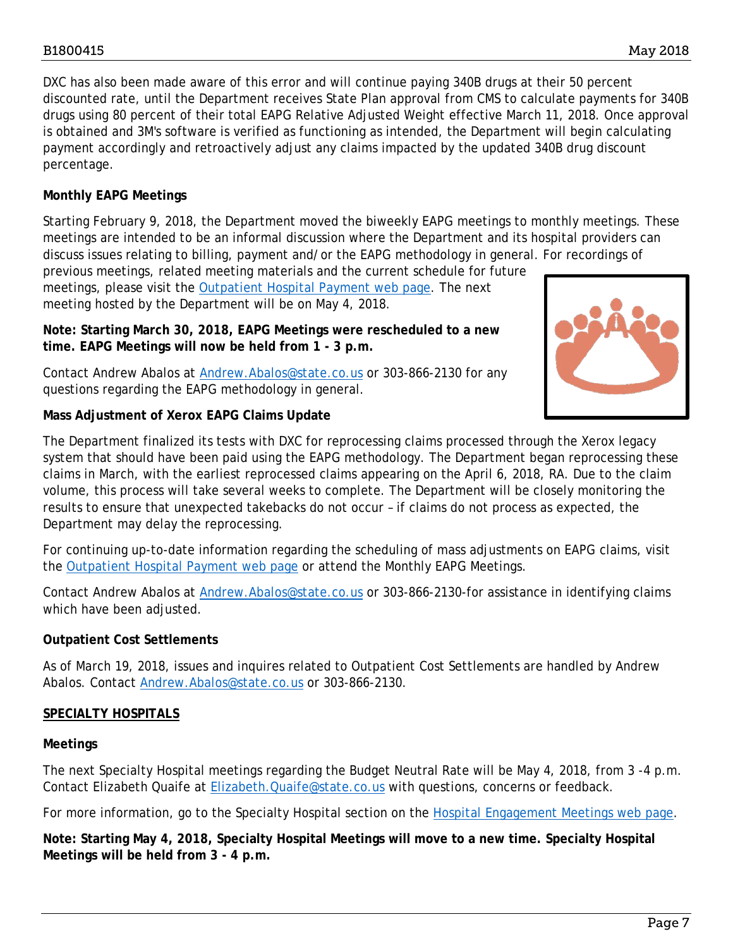DXC has also been made aware of this error and will continue paying 340B drugs at their 50 percent discounted rate, until the Department receives State Plan approval from CMS to calculate payments for 340B drugs using 80 percent of their total EAPG Relative Adjusted Weight effective March 11, 2018. Once approval is obtained and 3M's software is verified as functioning as intended, the Department will begin calculating payment accordingly and retroactively adjust any claims impacted by the updated 340B drug discount percentage.

### **Monthly EAPG Meetings**

Starting February 9, 2018, the Department moved the biweekly EAPG meetings to monthly meetings. These meetings are intended to be an informal discussion where the Department and its hospital providers can discuss issues relating to billing, payment and/or the EAPG methodology in general. For recordings of previous meetings, related meeting materials and the current schedule for future

meetings, please visit the [Outpatient Hospital Payment web page.](https://www.colorado.gov/pacific/hcpf/outpatient-hospital-payment) The next meeting hosted by the Department will be on May 4, 2018.

**Note: Starting March 30, 2018, EAPG Meetings were rescheduled to a new time. EAPG Meetings will now be held from 1 - 3 p.m.**

Contact Andrew Abalos at [Andrew.Abalos@state.co.us](mailto:Andrew.Abalos@state.co.us) or 303-866-2130 for any questions regarding the EAPG methodology in general.

### **Mass Adjustment of Xerox EAPG Claims Update**



The Department finalized its tests with DXC for reprocessing claims processed through the Xerox legacy system that should have been paid using the EAPG methodology. The Department began reprocessing these claims in March, with the earliest reprocessed claims appearing on the April 6, 2018, RA. Due to the claim volume, this process will take several weeks to complete. The Department will be closely monitoring the results to ensure that unexpected takebacks do not occur – if claims do not process as expected, the Department may delay the reprocessing.

For continuing up-to-date information regarding the scheduling of mass adjustments on EAPG claims, visit the [Outpatient Hospital Payment web page](https://www.colorado.gov/pacific/hcpf/outpatient-hospital-payment) or attend the Monthly EAPG Meetings.

Contact Andrew Abalos at [Andrew.Abalos@state.co.us](mailto:Andrew.Abalos@state.co.us) or 303-866-2130-for assistance in identifying claims which have been adjusted.

### **Outpatient Cost Settlements**

As of March 19, 2018, issues and inquires related to Outpatient Cost Settlements are handled by Andrew Abalos. Contact [Andrew.Abalos@state.co.us](mailto:Andrew.Abalos@state.co.us) or 303-866-2130.

### **SPECIALTY HOSPITALS**

#### **Meetings**

The next Specialty Hospital meetings regarding the Budget Neutral Rate will be May 4, 2018, from 3 -4 p.m. Contact Elizabeth Quaife at [Elizabeth.Quaife@state.co.us](mailto:Elizabeth.Quaife@state.co.us) with questions, concerns or feedback.

For more information, go to the Specialty Hospital section on the [Hospital Engagement Meetings web page.](https://www.colorado.gov/pacific/hcpf/hospital-engagement-meetings)

**Note: Starting May 4, 2018, Specialty Hospital Meetings will move to a new time. Specialty Hospital Meetings will be held from 3 - 4 p.m.**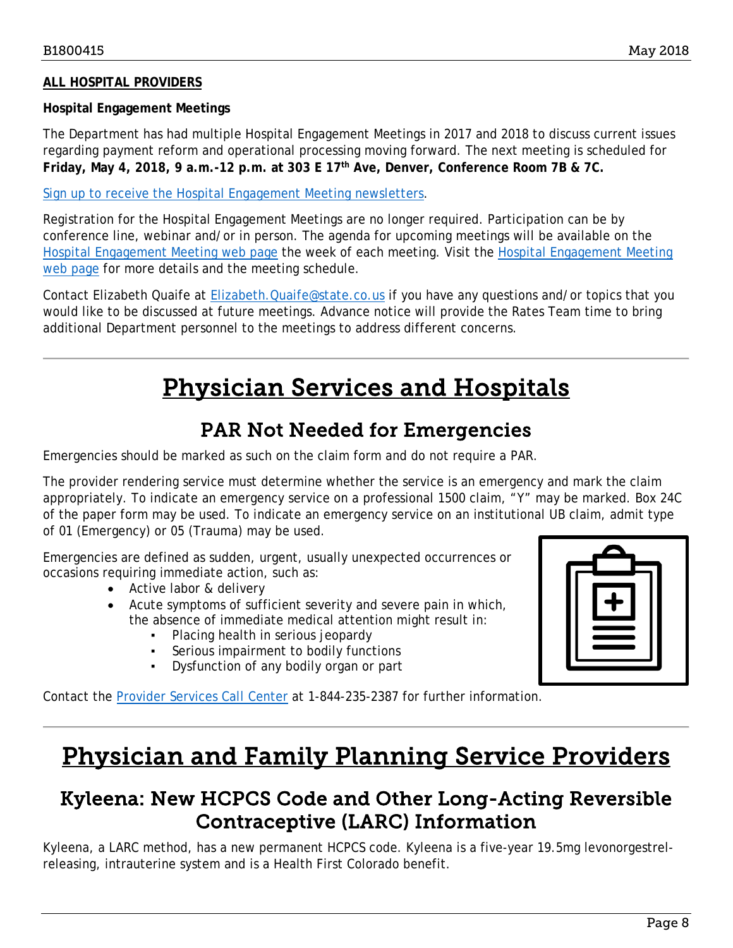### **ALL HOSPITAL PROVIDERS**

#### **Hospital Engagement Meetings**

The Department has had multiple Hospital Engagement Meetings in 2017 and 2018 to discuss current issues regarding payment reform and operational processing moving forward. The next meeting is scheduled for **Friday, May 4, 2018, 9 a.m.-12 p.m. at 303 E 17th Ave, Denver, Conference Room 7B & 7C.**

[Sign up to receive the Hospital Engagement Meeting newsletters.](https://visitor.r20.constantcontact.com/manage/optin?v=001HfxrbpGNWZ0lZnPp6t3PG2s9XPNl8ZvgFdjsKvSnhIy8z9JmHyp6DeoLJ3saT6x0SeqRR1ub149uoXxe1ok4jTzfMSQ0BN7S5vcLiRO7gdY%3D)

Registration for the Hospital Engagement Meetings are no longer required. Participation can be by conference line, webinar and/or in person. The agenda for upcoming meetings will be available on the [Hospital Engagement Meeting web page](https://www.colorado.gov/pacific/hcpf/hospital-engagement-meetings) the week of each meeting. Visit the [Hospital Engagement Meeting](https://www.colorado.gov/pacific/hcpf/hospital-engagement-meetings)  [web page](https://www.colorado.gov/pacific/hcpf/hospital-engagement-meetings) for more details and the meeting schedule.

Contact Elizabeth Quaife at **Elizabeth.Quaife@state.co.us** if you have any questions and/or topics that you would like to be discussed at future meetings. Advance notice will provide the Rates Team time to bring additional Department personnel to the meetings to address different concerns.

## Physician Services and Hospitals

### PAR Not Needed for Emergencies

<span id="page-7-3"></span><span id="page-7-0"></span>Emergencies should be marked as such on the claim form and do not require a PAR.

The provider rendering service must determine whether the service is an emergency and mark the claim appropriately. To indicate an emergency service on a professional 1500 claim, "Y" may be marked. Box 24C of the paper form may be used. To indicate an emergency service on an institutional UB claim, admit type of 01 (Emergency) or 05 (Trauma) may be used.

Emergencies are defined as sudden, urgent, usually unexpected occurrences or occasions requiring immediate action, such as:

- Active labor & delivery
- Acute symptoms of sufficient severity and severe pain in which, the absence of immediate medical attention might result in:
	- Placing health in serious jeopardy
	- Serious impairment to bodily functions
	- Dysfunction of any bodily organ or part

Contact the [Provider Services Call Center](https://www.colorado.gov/pacific/sites/default/files/Provider%20Call%20Center%20Cheat%20Sheet.pdf) at 1-844-235-2387 for further information.



## <span id="page-7-2"></span>Physician and Family Planning Service Providers

### <span id="page-7-1"></span>Kyleena: New HCPCS Code and Other Long-Acting Reversible Contraceptive (LARC) Information

Kyleena, a LARC method, has a new permanent HCPCS code. Kyleena is a five-year 19.5mg levonorgestrelreleasing, intrauterine system and is a Health First Colorado benefit.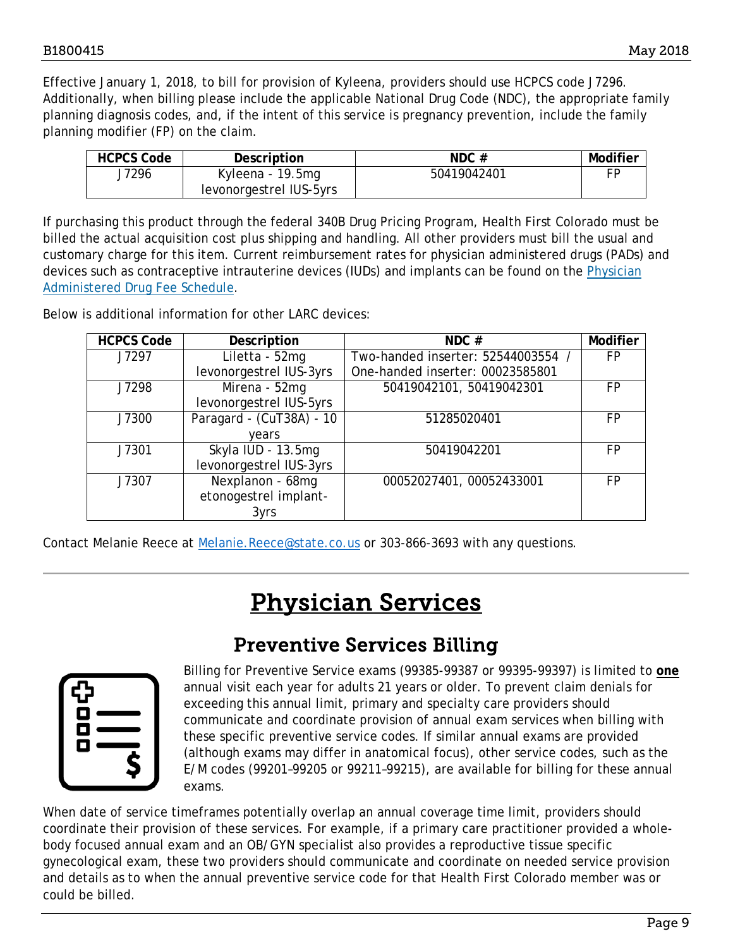Effective January 1, 2018, to bill for provision of Kyleena, providers should use HCPCS code J7296. Additionally, when billing please include the applicable National Drug Code (NDC), the appropriate family planning diagnosis codes, and, if the intent of this service is pregnancy prevention, include the family planning modifier (FP) on the claim.

| <b>HCPCS Code</b> | Description             | NDC#        | Modifier |
|-------------------|-------------------------|-------------|----------|
| J7296             | Kyleena - 19.5mg        | 50419042401 | FЕ       |
|                   | levonorgestrel IUS-5yrs |             |          |

If purchasing this product through the federal 340B Drug Pricing Program, Health First Colorado must be billed the actual acquisition cost plus shipping and handling. All other providers must bill the usual and customary charge for this item. Current reimbursement rates for physician administered drugs (PADs) and devices such as contraceptive intrauterine devices (IUDs) and implants can be found on the [Physician](https://www.colorado.gov/pacific/sites/default/files/Physician-Administered%20Drug%20Fee%20Schedule%202018.xlsx)  [Administered Drug Fee Schedule.](https://www.colorado.gov/pacific/sites/default/files/Physician-Administered%20Drug%20Fee%20Schedule%202018.xlsx)

Below is additional information for other LARC devices:

| <b>HCPCS Code</b> | Description              | NDC#                             | Modifier |
|-------------------|--------------------------|----------------------------------|----------|
| J7297             | Liletta - 52mg           | Two-handed inserter: 52544003554 | FP       |
|                   | levonorgestrel IUS-3yrs  | One-handed inserter: 00023585801 |          |
| J7298             | Mirena - 52mg            | 50419042101, 50419042301         | FP       |
|                   | levonorgestrel IUS-5yrs  |                                  |          |
| J7300             | Paragard - (CuT38A) - 10 | 51285020401                      | FP       |
|                   | years                    |                                  |          |
| J7301             | Skyla IUD - 13.5mg       | 50419042201                      | FP       |
|                   | levonorgestrel IUS-3yrs  |                                  |          |
| J7307             | Nexplanon - 68mg         | 00052027401, 00052433001         | FP       |
|                   | etonogestrel implant-    |                                  |          |
|                   | 3yrs                     |                                  |          |

<span id="page-8-1"></span>Contact Melanie Reece at [Melanie.Reece@state.co.us](mailto:Melanie.Reece@state.co.us) or 303-866-3693 with any questions.

## Physician Services

## Preventive Services Billing

<span id="page-8-0"></span>

Billing for Preventive Service exams (99385-99387 or 99395-99397) is limited to **one** annual visit each year for adults 21 years or older. To prevent claim denials for exceeding this annual limit, primary and specialty care providers should communicate and coordinate provision of annual exam services when billing with these specific preventive service codes. If similar annual exams are provided (although exams may differ in anatomical focus), other service codes, such as the E/M codes (99201–99205 or 99211–99215), are available for billing for these annual exams.

When date of service timeframes potentially overlap an annual coverage time limit, providers should coordinate their provision of these services. For example, if a primary care practitioner provided a wholebody focused annual exam and an OB/GYN specialist also provides a reproductive tissue specific gynecological exam, these two providers should communicate and coordinate on needed service provision and details as to when the annual preventive service code for that Health First Colorado member was or could be billed.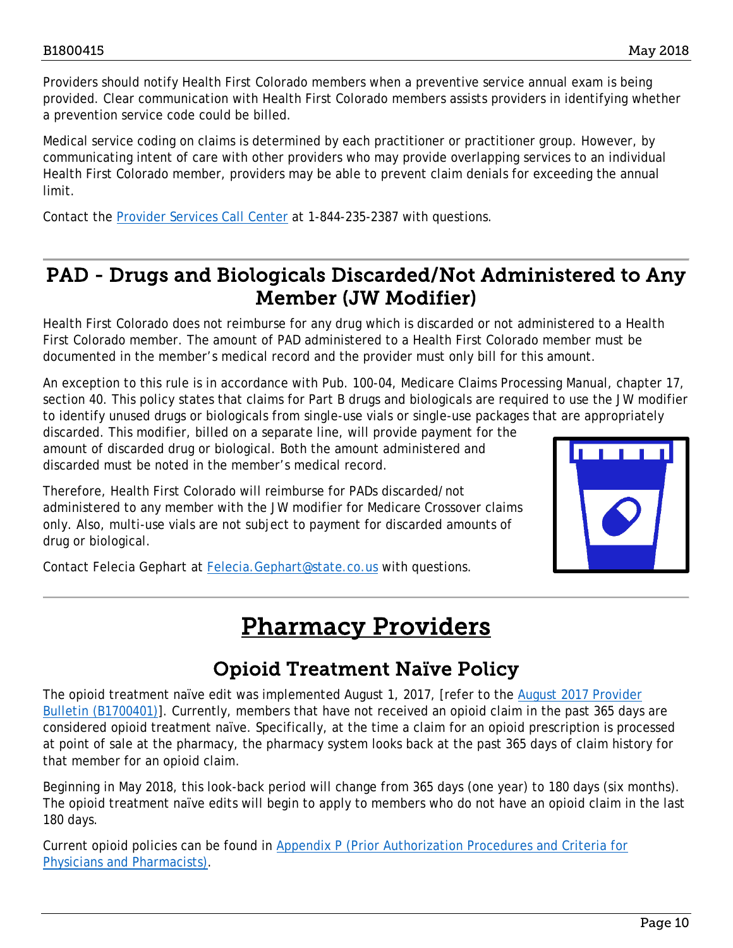Providers should notify Health First Colorado members when a preventive service annual exam is being provided. Clear communication with Health First Colorado members assists providers in identifying whether a prevention service code could be billed.

Medical service coding on claims is determined by each practitioner or practitioner group. However, by communicating intent of care with other providers who may provide overlapping services to an individual Health First Colorado member, providers may be able to prevent claim denials for exceeding the annual limit.

Contact the [Provider Services Call Center](https://www.colorado.gov/pacific/sites/default/files/Provider%20Call%20Center%20Cheat%20Sheet.pdf) at 1-844-235-2387 with questions.

### <span id="page-9-0"></span>PAD - Drugs and Biologicals Discarded/Not Administered to Any Member (JW Modifier)

Health First Colorado does not reimburse for any drug which is discarded or not administered to a Health First Colorado member. The amount of PAD administered to a Health First Colorado member must be documented in the member's medical record and the provider must only bill for this amount.

An exception to this rule is in accordance with Pub. 100-04, Medicare Claims Processing Manual, chapter 17, section 40. This policy states that claims for Part B drugs and biologicals are required to use the JW modifier to identify unused drugs or biologicals from single-use vials or single-use packages that are appropriately

discarded. This modifier, billed on a separate line, will provide payment for the amount of discarded drug or biological. Both the amount administered and discarded must be noted in the member's medical record.

Therefore, Health First Colorado will reimburse for PADs discarded/not administered to any member with the JW modifier for Medicare Crossover claims only. Also, multi-use vials are not subject to payment for discarded amounts of drug or biological.



<span id="page-9-2"></span>Contact Felecia Gephart at [Felecia.Gephart@state.co.us](mailto:Felecia.Gephart@state.co.us) with questions.

## Pharmacy Providers

## Opioid Treatment Naïve Policy

<span id="page-9-1"></span>The opioid treatment naïve edit was implemented August 1, 2017, [refer to the August 2017 Provider [Bulletin \(B1700401\)\]](https://www.colorado.gov/pacific/sites/default/files/Bulletin_0817_B1700401.pdf). Currently, members that have not received an opioid claim in the past 365 days are considered opioid treatment naïve. Specifically, at the time a claim for an opioid prescription is processed at point of sale at the pharmacy, the pharmacy system looks back at the past 365 days of claim history for that member for an opioid claim.

Beginning in May 2018, this look-back period will change from 365 days (one year) to 180 days (six months). The opioid treatment naïve edits will begin to apply to members who do not have an opioid claim in the last 180 days.

Current opioid policies can be found in [Appendix P \(Prior Authorization Procedures and Criteria for](https://www.colorado.gov/pacific/sites/default/files/Appendix%20P-PA%20Criteria%20for%20Physicians%20and%20Pharmacists%20v1_2.pdf)  [Physicians and Pharmacists\).](https://www.colorado.gov/pacific/sites/default/files/Appendix%20P-PA%20Criteria%20for%20Physicians%20and%20Pharmacists%20v1_2.pdf)